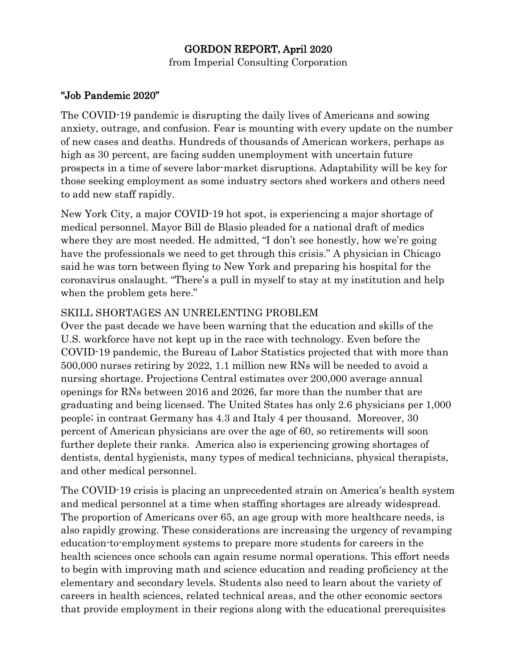## GORDON REPORT**,** April 2020

from Imperial Consulting Corporation

## "Job Pandemic 2020"

The COVID-19 pandemic is disrupting the daily lives of Americans and sowing anxiety, outrage, and confusion. Fear is mounting with every update on the number of new cases and deaths. Hundreds of thousands of American workers, perhaps as high as 30 percent, are facing sudden unemployment with uncertain future prospects in a time of severe labor-market disruptions. Adaptability will be key for those seeking employment as some industry sectors shed workers and others need to add new staff rapidly.

New York City, a major COVID-19 hot spot, is experiencing a major shortage of medical personnel. Mayor Bill de Blasio pleaded for a national draft of medics where they are most needed. He admitted, "I don't see honestly, how we're going have the professionals we need to get through this crisis." A physician in Chicago said he was torn between flying to New York and preparing his hospital for the coronavirus onslaught. "There's a pull in myself to stay at my institution and help when the problem gets here."

## SKILL SHORTAGES AN UNRELENTING PROBLEM

Over the past decade we have been warning that the education and skills of the U.S. workforce have not kept up in the race with technology. Even before the COVID-19 pandemic, the Bureau of Labor Statistics projected that with more than 500,000 nurses retiring by 2022, 1.1 million new RNs will be needed to avoid a nursing shortage. Projections Central estimates over 200,000 average annual openings for RNs between 2016 and 2026, far more than the number that are graduating and being licensed. The United States has only 2.6 physicians per 1,000 people; in contrast Germany has 4.3 and Italy 4 per thousand. Moreover, 30 percent of American physicians are over the age of 60, so retirements will soon further deplete their ranks. America also is experiencing growing shortages of dentists, dental hygienists, many types of medical technicians, physical therapists, and other medical personnel.

The COVID-19 crisis is placing an unprecedented strain on America's health system and medical personnel at a time when staffing shortages are already widespread. The proportion of Americans over 65, an age group with more healthcare needs, is also rapidly growing. These considerations are increasing the urgency of revamping education-to-employment systems to prepare more students for careers in the health sciences once schools can again resume normal operations. This effort needs to begin with improving math and science education and reading proficiency at the elementary and secondary levels. Students also need to learn about the variety of careers in health sciences, related technical areas, and the other economic sectors that provide employment in their regions along with the educational prerequisites